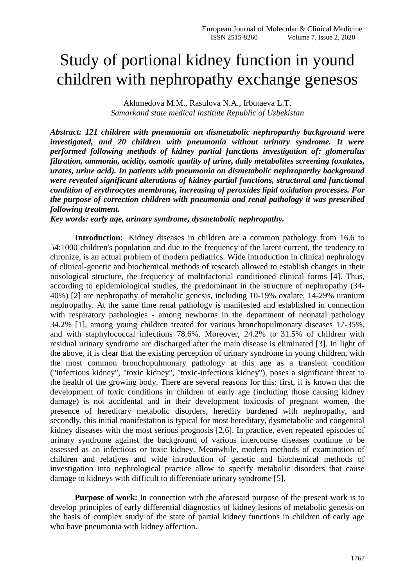## Study of portional kidney function in yound children with nephropathy exchange genesos

Akhmedova M.M., Rasulova N.A., Irbutaeva L.T. *Samarkand state medical institute Republic of Uzbekistan* 

*Abstract: 121 children with pneumonia on dismetabolic nephroparthy background were investigated, and 20 children with pneumonia without urinary syndrome. It were performed following methods of kidney partial functions investigation of: glomerulus filtration, ammonia, acidity, osmotic quality of urine, daily metabolites screening (oxalates, urates, urine acid). In patients with pneumonia on dismetabolic nephroparthy background were revealed significant alterations of kidney partial functions, structural and functional condition of erythrocytes membrane, increasing of peroxides lipid oxidation processes. For the purpose of correction children with pneumonia and renal pathology it was prescribed following treatment.*

*Key words: early age, urinary syndrome, dysmetabolic nephropathy.*

**Introduction**: Kidney diseases in children are a common pathology from 16.6 to 54:1000 children's population and due to the frequency of the latent current, the tendency to chronize, is an actual problem of modern pediatrics. Wide introduction in clinical nephrology of clinical-genetic and biochemical methods of research allowed to establish changes in their nosological structure, the frequency of multifactorial conditioned clinical forms [4]. Thus, according to epidemiological studies, the predominant in the structure of nephropathy (34- 40%) [2] are nephropathy of metabolic genesis, including 10-19% oxalate, 14-29% uranium nephropathy. At the same time renal pathology is manifested and established in connection with respiratory pathologies - among newborns in the department of neonatal pathology 34.2% [1], among young children treated for various bronchopulmonary diseases 17-35%, and with staphylococcal infections 78.6%. Moreover, 24.2% to 31.5% of children with residual urinary syndrome are discharged after the main disease is eliminated [3]. In light of the above, it is clear that the existing perception of urinary syndrome in young children, with the most common bronchopulmonary pathology at this age as a transient condition ("infectious kidney", "toxic kidney", "toxic-infectious kidney"), poses a significant threat to the health of the growing body. There are several reasons for this: first, it is known that the development of toxic conditions in children of early age (including those causing kidney damage) is not accidental and in their development toxicosis of pregnant women, the presence of hereditary metabolic disorders, heredity burdened with nephropathy, and secondly, this initial manifestation is typical for most hereditary, dysmetabolic and congenital kidney diseases with the most serious prognosis [2,6]. In practice, even repeated episodes of urinary syndrome against the background of various intercourse diseases continue to be assessed as an infectious or toxic kidney. Meanwhile, modern methods of examination of children and relatives and wide introduction of genetic and biochemical methods of investigation into nephrological practice allow to specify metabolic disorders that cause damage to kidneys with difficult to differentiate urinary syndrome [5].

**Purpose of work:** In connection with the aforesaid purpose of the present work is to develop principles of early differential diagnostics of kidney lesions of metabolic genesis on the basis of complex study of the state of partial kidney functions in children of early age who have pneumonia with kidney affection.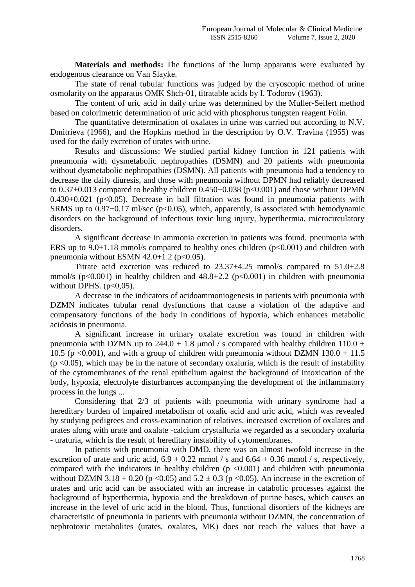**Materials and methods:** The functions of the lump apparatus were evaluated by endogenous clearance on Van Slayke.

The state of renal tubular functions was judged by the cryoscopic method of urine osmolarity on the apparatus OMK Shch-01, titratable acids by I. Todorov (1963).

The content of uric acid in daily urine was determined by the Muller-Seifert method based on colorimetric determination of uric acid with phosphorus tungsten reagent Folin.

The quantitative determination of oxalates in urine was carried out according to N.V. Dmitrieva (1966), and the Hopkins method in the description by O.V. Travina (1955) was used for the daily excretion of urates with urine.

Results and discussions: We studied partial kidney function in 121 patients with pneumonia with dysmetabolic nephropathies (DSMN) and 20 patients with pneumonia without dysmetabolic nephropathies (DSMN). All patients with pneumonia had a tendency to decrease the daily diuresis, and those with pneumonia without DPMN had reliably decreased to  $0.37\pm0.013$  compared to healthy children  $0.450+0.038$  (p<0.001) and those without DPMN  $0.430+0.021$  ( $p<0.05$ ). Decrease in ball filtration was found in pneumonia patients with SRMS up to  $0.97+0.17$  ml/sec ( $p<0.05$ ), which, apparently, is associated with hemodynamic disorders on the background of infectious toxic lung injury, hyperthermia, microcirculatory disorders.

A significant decrease in ammonia excretion in patients was found. pneumonia with ERS up to  $9.0+1.18$  mmol/s compared to healthy ones children ( $p<0.001$ ) and children with pneumonia without ESMN  $42.0+1.2$  (p $< 0.05$ ).

Titrate acid excretion was reduced to 23.37±4.25 mmol/s compared to 51.0+2.8 mmol/s ( $p<0.001$ ) in healthy children and  $48.8+2.2$  ( $p<0.001$ ) in children with pneumonia without DPHS.  $(p<0.05)$ .

A decrease in the indicators of acidoammoniogenesis in patients with pneumonia with DZMN indicates tubular renal dysfunctions that cause a violation of the adaptive and compensatory functions of the body in conditions of hypoxia, which enhances metabolic acidosis in pneumonia.

A significant increase in urinary oxalate excretion was found in children with pneumonia with DZMN up to  $244.0 + 1.8$  umol / s compared with healthy children  $110.0 +$ 10.5 (p <0.001), and with a group of children with pneumonia without DZMN  $130.0 + 11.5$  $(p \le 0.05)$ , which may be in the nature of secondary oxaluria, which is the result of instability of the cytomembranes of the renal epithelium against the background of intoxication of the body, hypoxia, electrolyte disturbances accompanying the development of the inflammatory process in the lungs ...

Considering that 2/3 of patients with pneumonia with urinary syndrome had a hereditary burden of impaired metabolism of oxalic acid and uric acid, which was revealed by studying pedigrees and cross-examination of relatives, increased excretion of oxalates and urates along with urate and oxalate -calcium crystalluria we regarded as a secondary oxaluria - uraturia, which is the result of hereditary instability of cytomembranes.

In patients with pneumonia with DMD, there was an almost twofold increase in the excretion of urate and uric acid,  $6.9 + 0.22$  mmol / s and  $6.64 + 0.36$  mmol / s, respectively, compared with the indicators in healthy children  $(p \le 0.001)$  and children with pneumonia without DZMN 3.18 + 0.20 (p < 0.05) and  $5.2 \pm 0.3$  (p < 0.05). An increase in the excretion of urates and uric acid can be associated with an increase in catabolic processes against the background of hyperthermia, hypoxia and the breakdown of purine bases, which causes an increase in the level of uric acid in the blood. Thus, functional disorders of the kidneys are characteristic of pneumonia in patients with pneumonia without DZMN, the concentration of nephrotoxic metabolites (urates, oxalates, MK) does not reach the values that have a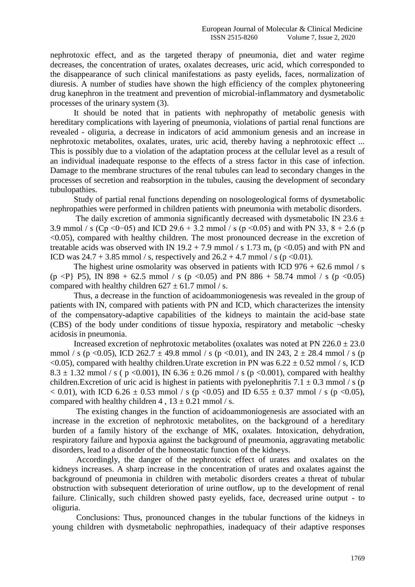nephrotoxic effect, and as the targeted therapy of pneumonia, diet and water regime decreases, the concentration of urates, oxalates decreases, uric acid, which corresponded to the disappearance of such clinical manifestations as pasty eyelids, faces, normalization of diuresis. A number of studies have shown the high efficiency of the complex phytoneering drug kanephron in the treatment and prevention of microbial-inflammatory and dysmetabolic processes of the urinary system (3).

It should be noted that in patients with nephropathy of metabolic genesis with hereditary complications with layering of pneumonia, violations of partial renal functions are revealed - oliguria, a decrease in indicators of acid ammonium genesis and an increase in nephrotoxic metabolites, oxalates, urates, uric acid, thereby having a nephrotoxic effect ... This is possibly due to a violation of the adaptation process at the cellular level as a result of an individual inadequate response to the effects of a stress factor in this case of infection. Damage to the membrane structures of the renal tubules can lead to secondary changes in the processes of secretion and reabsorption in the tubules, causing the development of secondary tubulopathies.

Study of partial renal functions depending on nosologeological forms of dysmetabolic nephropathies were performed in children patients with pneumonia with metabolic disorders.

The daily excretion of ammonia significantly decreased with dysmetabolic IN 23.6  $\pm$ 3.9 mmol / s (Cp <0-05) and ICD 29.6 + 3.2 mmol / s (p <0.05) and with PN 33,  $8 + 2.6$  (p <0.05), compared with healthy children. The most pronounced decrease in the excretion of treatable acids was observed with IN  $19.2 + 7.9$  mmol / s 1.73 m, (p <0.05) and with PN and ICD was  $24.7 + 3.85$  mmol / s, respectively and  $26.2 + 4.7$  mmol / s (p <0.01).

The highest urine osmolarity was observed in patients with ICD  $976 + 62.6$  mmol / s  $(p \leq P$  P5), IN 898 + 62.5 mmol / s  $(p \leq 0.05)$  and PN 886 + 58.74 mmol / s  $(p \leq 0.05)$ compared with healthy children  $627 \pm 61.7$  mmol / s.

Thus, a decrease in the function of acidoammoniogenesis was revealed in the group of patients with IN, compared with patients with PN and ICD, which characterizes the intensity of the compensatory-adaptive capabilities of the kidneys to maintain the acid-base state (CBS) of the body under conditions of tissue hypoxia, respiratory and metabolic ¬chesky acidosis in pneumonia.

Increased excretion of nephrotoxic metabolites (oxalates was noted at PN  $226.0 \pm 23.0$ mmol / s (p <0.05), ICD 262.7  $\pm$  49.8 mmol / s (p <0.01), and IN 243, 2  $\pm$  28.4 mmol / s (p  $\leq$ 0.05), compared with healthy children. Urate excretion in PN was 6.22  $\pm$  0.52 mmol / s, ICD 8.3  $\pm$  1.32 mmol / s ( p <0.001), IN 6.36  $\pm$  0.26 mmol / s (p <0.001), compared with healthy children.Excretion of uric acid is highest in patients with pyelonephritis 7.1  $\pm$  0.3 mmol / s (p  $< 0.01$ ), with ICD 6.26  $\pm$  0.53 mmol / s (p  $< 0.05$ ) and ID 6.55  $\pm$  0.37 mmol / s (p  $< 0.05$ ), compared with healthy children 4,  $13 \pm 0.21$  mmol / s.

The existing changes in the function of acidoammoniogenesis are associated with an increase in the excretion of nephrotoxic metabolites, on the background of a hereditary burden of a family history of the exchange of MK, oxalates. Intoxication, dehydration, respiratory failure and hypoxia against the background of pneumonia, aggravating metabolic disorders, lead to a disorder of the homeostatic function of the kidneys.

Accordingly, the danger of the nephrotoxic effect of urates and oxalates on the kidneys increases. A sharp increase in the concentration of urates and oxalates against the background of pneumonia in children with metabolic disorders creates a threat of tubular obstruction with subsequent deterioration of urine outflow, up to the development of renal failure. Clinically, such children showed pasty eyelids, face, decreased urine output - to oliguria.

Conclusions: Thus, pronounced changes in the tubular functions of the kidneys in young children with dysmetabolic nephropathies, inadequacy of their adaptive responses